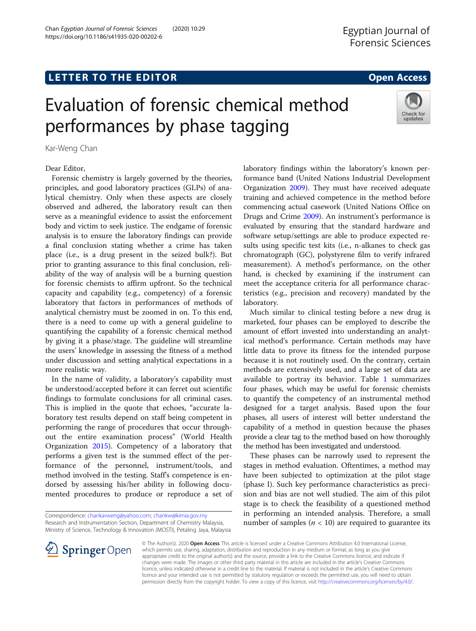# **LETTER TO THE EDITOR CONSTRUCTED ACCESS**

# Evaluation of forensic chemical method performances by phase tagging

Kar-Weng Chan

Dear Editor,

Forensic chemistry is largely governed by the theories, principles, and good laboratory practices (GLPs) of analytical chemistry. Only when these aspects are closely observed and adhered, the laboratory result can then serve as a meaningful evidence to assist the enforcement body and victim to seek justice. The endgame of forensic analysis is to ensure the laboratory findings can provide a final conclusion stating whether a crime has taken place (i.e., is a drug present in the seized bulk?). But prior to granting assurance to this final conclusion, reliability of the way of analysis will be a burning question for forensic chemists to affirm upfront. So the technical capacity and capability (e.g., competency) of a forensic laboratory that factors in performances of methods of analytical chemistry must be zoomed in on. To this end, there is a need to come up with a general guideline to quantifying the capability of a forensic chemical method by giving it a phase/stage. The guideline will streamline the users' knowledge in assessing the fitness of a method under discussion and setting analytical expectations in a more realistic way.

In the name of validity, a laboratory's capability must be understood/accepted before it can ferret out scientific findings to formulate conclusions for all criminal cases. This is implied in the quote that echoes, "accurate laboratory test results depend on staff being competent in performing the range of procedures that occur throughout the entire examination process" (World Health Organization [2015](#page-2-0)). Competency of a laboratory that performs a given test is the summed effect of the performance of the personnel, instrument/tools, and method involved in the testing. Staff's competence is endorsed by assessing his/her ability in following documented procedures to produce or reproduce a set of

Correspondence: [chankarweng@yahoo.com;](mailto:chankarweng@yahoo.com) [chankw@kimia.gov.my](mailto:chankw@kimia.gov.my) Research and Instrumentation Section, Department of Chemistry Malaysia, Ministry of Science, Technology & Innovation (MOSTI), Petaling Jaya, Malaysia



Egyptian Journal of



laboratory findings within the laboratory's known performance band (United Nations Industrial Development Organization [2009](#page-2-0)). They must have received adequate training and achieved competence in the method before commencing actual casework (United Nations Office on Drugs and Crime [2009](#page-2-0)). An instrument's performance is evaluated by ensuring that the standard hardware and software setup/settings are able to produce expected results using specific test kits (i.e., n-alkanes to check gas chromatograph (GC), polystyrene film to verify infrared measurement). A method's performance, on the other hand, is checked by examining if the instrument can meet the acceptance criteria for all performance characteristics (e.g., precision and recovery) mandated by the laboratory.

Much similar to clinical testing before a new drug is marketed, four phases can be employed to describe the amount of effort invested into understanding an analytical method's performance. Certain methods may have little data to prove its fitness for the intended purpose because it is not routinely used. On the contrary, certain methods are extensively used, and a large set of data are available to portray its behavior. Table [1](#page-1-0) summarizes four phases, which may be useful for forensic chemists to quantify the competency of an instrumental method designed for a target analysis. Based upon the four phases, all users of interest will better understand the capability of a method in question because the phases provide a clear tag to the method based on how thoroughly the method has been investigated and understood.

These phases can be narrowly used to represent the stages in method evaluation. Oftentimes, a method may have been subjected to optimization at the pilot stage (phase I). Such key performance characteristics as precision and bias are not well studied. The aim of this pilot stage is to check the feasibility of a questioned method in performing an intended analysis. Therefore, a small number of samples ( $n < 10$ ) are required to guarantee its



© The Author(s). 2020 Open Access This article is licensed under a Creative Commons Attribution 4.0 International License, which permits use, sharing, adaptation, distribution and reproduction in any medium or format, as long as you give appropriate credit to the original author(s) and the source, provide a link to the Creative Commons licence, and indicate if changes were made. The images or other third party material in this article are included in the article's Creative Commons licence, unless indicated otherwise in a credit line to the material. If material is not included in the article's Creative Commons licence and your intended use is not permitted by statutory regulation or exceeds the permitted use, you will need to obtain permission directly from the copyright holder. To view a copy of this licence, visit <http://creativecommons.org/licenses/by/4.0/>.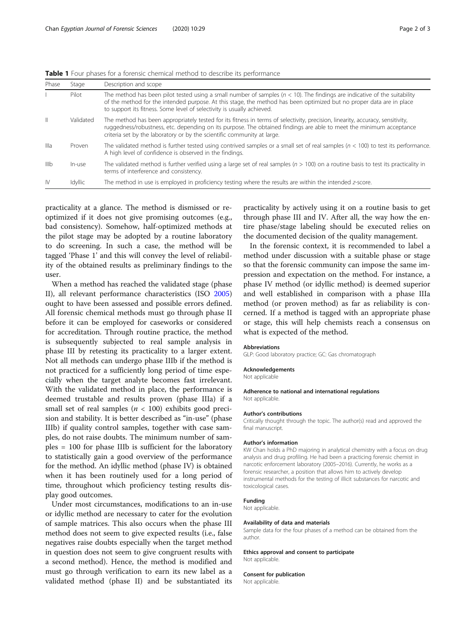<span id="page-1-0"></span>Table 1 Four phases for a forensic chemical method to describe its performance

| Phase        | Stage     | Description and scope                                                                                                                                                                                                                                                                                                            |
|--------------|-----------|----------------------------------------------------------------------------------------------------------------------------------------------------------------------------------------------------------------------------------------------------------------------------------------------------------------------------------|
|              | Pilot     | The method has been pilot tested using a small number of samples $(n < 10)$ . The findings are indicative of the suitability<br>of the method for the intended purpose. At this stage, the method has been optimized but no proper data are in place<br>to support its fitness. Some level of selectivity is usually achieved.   |
| $\mathbb{I}$ | Validated | The method has been appropriately tested for its fitness in terms of selectivity, precision, linearity, accuracy, sensitivity,<br>ruggedness/robustness, etc. depending on its purpose. The obtained findings are able to meet the minimum acceptance<br>criteria set by the laboratory or by the scientific community at large. |
| Illa         | Proven    | The validated method is further tested using contrived samples or a small set of real samples ( $n < 100$ ) to test its performance.<br>A high level of confidence is observed in the findings.                                                                                                                                  |
| IIIb         | In-use    | The validated method is further verified using a large set of real samples ( $n > 100$ ) on a routine basis to test its practicality in<br>terms of interference and consistency.                                                                                                                                                |
| <b>IV</b>    | Idvllic   | The method in use is employed in proficiency testing where the results are within the intended z-score.                                                                                                                                                                                                                          |

practicality at a glance. The method is dismissed or reoptimized if it does not give promising outcomes (e.g., bad consistency). Somehow, half-optimized methods at the pilot stage may be adopted by a routine laboratory to do screening. In such a case, the method will be tagged 'Phase 1' and this will convey the level of reliability of the obtained results as preliminary findings to the user.

When a method has reached the validated stage (phase II), all relevant performance characteristics (ISO [2005](#page-2-0)) ought to have been assessed and possible errors defined. All forensic chemical methods must go through phase II before it can be employed for caseworks or considered for accreditation. Through routine practice, the method is subsequently subjected to real sample analysis in phase III by retesting its practicality to a larger extent. Not all methods can undergo phase IIIb if the method is not practiced for a sufficiently long period of time especially when the target analyte becomes fast irrelevant. With the validated method in place, the performance is deemed trustable and results proven (phase IIIa) if a small set of real samples ( $n < 100$ ) exhibits good precision and stability. It is better described as "in-use" (phase IIIb) if quality control samples, together with case samples, do not raise doubts. The minimum number of samples = 100 for phase IIIb is sufficient for the laboratory to statistically gain a good overview of the performance for the method. An idyllic method (phase IV) is obtained when it has been routinely used for a long period of time, throughout which proficiency testing results display good outcomes.

Under most circumstances, modifications to an in-use or idyllic method are necessary to cater for the evolution of sample matrices. This also occurs when the phase III method does not seem to give expected results (i.e., false negatives raise doubts especially when the target method in question does not seem to give congruent results with a second method). Hence, the method is modified and must go through verification to earn its new label as a validated method (phase II) and be substantiated its practicality by actively using it on a routine basis to get through phase III and IV. After all, the way how the entire phase/stage labeling should be executed relies on the documented decision of the quality management.

In the forensic context, it is recommended to label a method under discussion with a suitable phase or stage so that the forensic community can impose the same impression and expectation on the method. For instance, a phase IV method (or idyllic method) is deemed superior and well established in comparison with a phase IIIa method (or proven method) as far as reliability is concerned. If a method is tagged with an appropriate phase or stage, this will help chemists reach a consensus on what is expected of the method.

#### Abbreviations

GLP: Good laboratory practice; GC: Gas chromatograph

### Acknowledgements

Not applicable

# Adherence to national and international regulations

Not applicable.

#### Author's contributions

Critically thought through the topic. The author(s) read and approved the final manuscript.

#### Author's information

KW Chan holds a PhD majoring in analytical chemistry with a focus on drug analysis and drug profiling. He had been a practicing forensic chemist in narcotic enforcement laboratory (2005–2016). Currently, he works as a forensic researcher, a position that allows him to actively develop instrumental methods for the testing of illicit substances for narcotic and toxicological cases.

#### Funding

Not applicable.

#### Availability of data and materials

Sample data for the four phases of a method can be obtained from the author.

Ethics approval and consent to participate Not applicable.

#### Consent for publication

Not applicable.